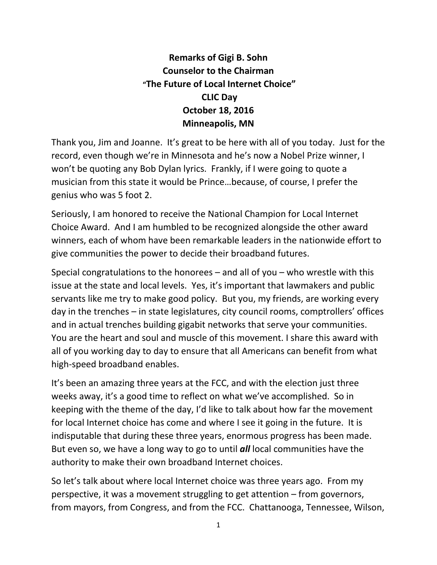## **Remarks of Gigi B. Sohn Counselor to the Chairman "The Future of Local Internet Choice" CLIC Day October 18, 2016 Minneapolis, MN**

Thank you, Jim and Joanne. It's great to be here with all of you today. Just for the record, even though we're in Minnesota and he's now a Nobel Prize winner, I won't be quoting any Bob Dylan lyrics. Frankly, if I were going to quote a musician from this state it would be Prince…because, of course, I prefer the genius who was 5 foot 2.

Seriously, I am honored to receive the National Champion for Local Internet Choice Award. And I am humbled to be recognized alongside the other award winners, each of whom have been remarkable leaders in the nationwide effort to give communities the power to decide their broadband futures.

Special congratulations to the honorees – and all of you – who wrestle with this issue at the state and local levels. Yes, it's important that lawmakers and public servants like me try to make good policy. But you, my friends, are working every day in the trenches – in state legislatures, city council rooms, comptrollers' offices and in actual trenches building gigabit networks that serve your communities. You are the heart and soul and muscle of this movement. I share this award with all of you working day to day to ensure that all Americans can benefit from what high-speed broadband enables.

It's been an amazing three years at the FCC, and with the election just three weeks away, it's a good time to reflect on what we've accomplished. So in keeping with the theme of the day, I'd like to talk about how far the movement for local Internet choice has come and where I see it going in the future. It is indisputable that during these three years, enormous progress has been made. But even so, we have a long way to go to until *all* local communities have the authority to make their own broadband Internet choices.

So let's talk about where local Internet choice was three years ago. From my perspective, it was a movement struggling to get attention – from governors, from mayors, from Congress, and from the FCC. Chattanooga, Tennessee, Wilson,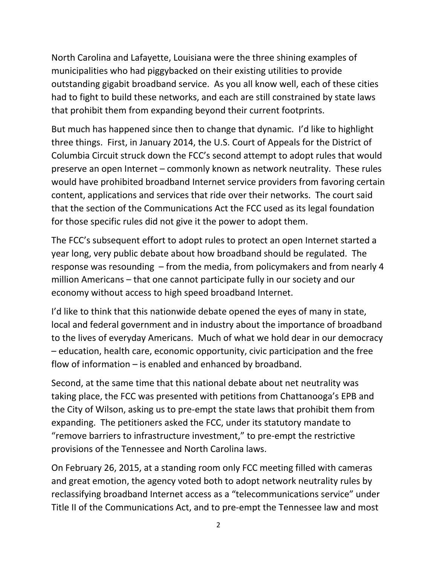North Carolina and Lafayette, Louisiana were the three shining examples of municipalities who had piggybacked on their existing utilities to provide outstanding gigabit broadband service. As you all know well, each of these cities had to fight to build these networks, and each are still constrained by state laws that prohibit them from expanding beyond their current footprints.

But much has happened since then to change that dynamic. I'd like to highlight three things. First, in January 2014, the U.S. Court of Appeals for the District of Columbia Circuit struck down the FCC's second attempt to adopt rules that would preserve an open Internet – commonly known as network neutrality. These rules would have prohibited broadband Internet service providers from favoring certain content, applications and services that ride over their networks. The court said that the section of the Communications Act the FCC used as its legal foundation for those specific rules did not give it the power to adopt them.

The FCC's subsequent effort to adopt rules to protect an open Internet started a year long, very public debate about how broadband should be regulated. The response was resounding – from the media, from policymakers and from nearly 4 million Americans – that one cannot participate fully in our society and our economy without access to high speed broadband Internet.

I'd like to think that this nationwide debate opened the eyes of many in state, local and federal government and in industry about the importance of broadband to the lives of everyday Americans. Much of what we hold dear in our democracy – education, health care, economic opportunity, civic participation and the free flow of information – is enabled and enhanced by broadband.

Second, at the same time that this national debate about net neutrality was taking place, the FCC was presented with petitions from Chattanooga's EPB and the City of Wilson, asking us to pre-empt the state laws that prohibit them from expanding. The petitioners asked the FCC, under its statutory mandate to "remove barriers to infrastructure investment," to pre-empt the restrictive provisions of the Tennessee and North Carolina laws.

On February 26, 2015, at a standing room only FCC meeting filled with cameras and great emotion, the agency voted both to adopt network neutrality rules by reclassifying broadband Internet access as a "telecommunications service" under Title II of the Communications Act, and to pre-empt the Tennessee law and most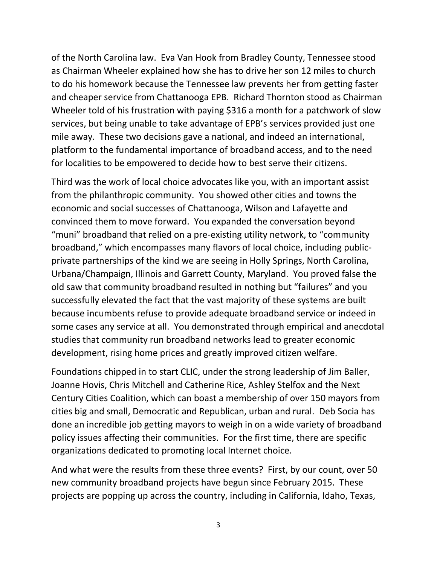of the North Carolina law. Eva Van Hook from Bradley County, Tennessee stood as Chairman Wheeler explained how she has to drive her son 12 miles to church to do his homework because the Tennessee law prevents her from getting faster and cheaper service from Chattanooga EPB. Richard Thornton stood as Chairman Wheeler told of his frustration with paying \$316 a month for a patchwork of slow services, but being unable to take advantage of EPB's services provided just one mile away. These two decisions gave a national, and indeed an international, platform to the fundamental importance of broadband access, and to the need for localities to be empowered to decide how to best serve their citizens.

Third was the work of local choice advocates like you, with an important assist from the philanthropic community. You showed other cities and towns the economic and social successes of Chattanooga, Wilson and Lafayette and convinced them to move forward. You expanded the conversation beyond "muni" broadband that relied on a pre-existing utility network, to "community broadband," which encompasses many flavors of local choice, including publicprivate partnerships of the kind we are seeing in Holly Springs, North Carolina, Urbana/Champaign, Illinois and Garrett County, Maryland. You proved false the old saw that community broadband resulted in nothing but "failures" and you successfully elevated the fact that the vast majority of these systems are built because incumbents refuse to provide adequate broadband service or indeed in some cases any service at all. You demonstrated through empirical and anecdotal studies that community run broadband networks lead to greater economic development, rising home prices and greatly improved citizen welfare.

Foundations chipped in to start CLIC, under the strong leadership of Jim Baller, Joanne Hovis, Chris Mitchell and Catherine Rice, Ashley Stelfox and the Next Century Cities Coalition, which can boast a membership of over 150 mayors from cities big and small, Democratic and Republican, urban and rural. Deb Socia has done an incredible job getting mayors to weigh in on a wide variety of broadband policy issues affecting their communities. For the first time, there are specific organizations dedicated to promoting local Internet choice.

And what were the results from these three events? First, by our count, over 50 new community broadband projects have begun since February 2015. These projects are popping up across the country, including in California, Idaho, Texas,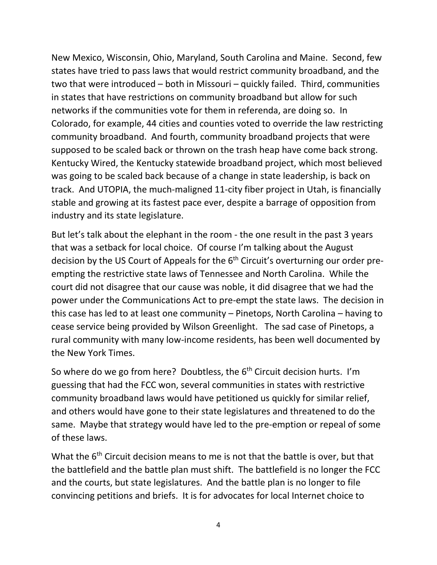New Mexico, Wisconsin, Ohio, Maryland, South Carolina and Maine. Second, few states have tried to pass laws that would restrict community broadband, and the two that were introduced – both in Missouri – quickly failed. Third, communities in states that have restrictions on community broadband but allow for such networks if the communities vote for them in referenda, are doing so. In Colorado, for example, 44 cities and counties voted to override the law restricting community broadband. And fourth, community broadband projects that were supposed to be scaled back or thrown on the trash heap have come back strong. Kentucky Wired, the Kentucky statewide broadband project, which most believed was going to be scaled back because of a change in state leadership, is back on track. And UTOPIA, the much-maligned 11-city fiber project in Utah, is financially stable and growing at its fastest pace ever, despite a barrage of opposition from industry and its state legislature.

But let's talk about the elephant in the room - the one result in the past 3 years that was a setback for local choice. Of course I'm talking about the August decision by the US Court of Appeals for the  $6<sup>th</sup>$  Circuit's overturning our order preempting the restrictive state laws of Tennessee and North Carolina. While the court did not disagree that our cause was noble, it did disagree that we had the power under the Communications Act to pre-empt the state laws. The decision in this case has led to at least one community – Pinetops, North Carolina – having to cease service being provided by Wilson Greenlight. The sad case of Pinetops, a rural community with many low-income residents, has been well documented by the New York Times.

So where do we go from here? Doubtless, the  $6<sup>th</sup>$  Circuit decision hurts. I'm guessing that had the FCC won, several communities in states with restrictive community broadband laws would have petitioned us quickly for similar relief, and others would have gone to their state legislatures and threatened to do the same. Maybe that strategy would have led to the pre-emption or repeal of some of these laws.

What the 6<sup>th</sup> Circuit decision means to me is not that the battle is over, but that the battlefield and the battle plan must shift. The battlefield is no longer the FCC and the courts, but state legislatures. And the battle plan is no longer to file convincing petitions and briefs. It is for advocates for local Internet choice to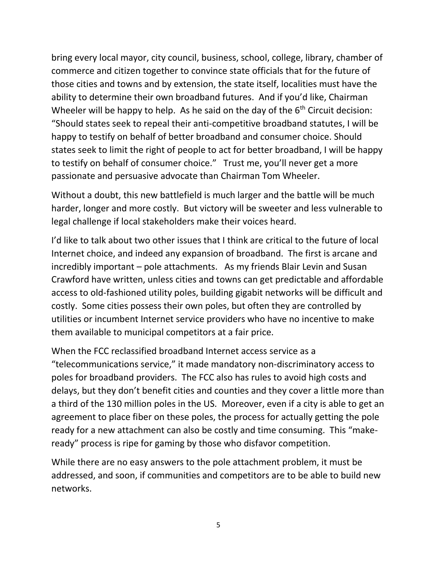bring every local mayor, city council, business, school, college, library, chamber of commerce and citizen together to convince state officials that for the future of those cities and towns and by extension, the state itself, localities must have the ability to determine their own broadband futures. And if you'd like, Chairman Wheeler will be happy to help. As he said on the day of the  $6<sup>th</sup>$  Circuit decision: "Should states seek to repeal their anti-competitive broadband statutes, I will be happy to testify on behalf of better broadband and consumer choice. Should states seek to limit the right of people to act for better broadband, I will be happy to testify on behalf of consumer choice." Trust me, you'll never get a more passionate and persuasive advocate than Chairman Tom Wheeler.

Without a doubt, this new battlefield is much larger and the battle will be much harder, longer and more costly. But victory will be sweeter and less vulnerable to legal challenge if local stakeholders make their voices heard.

I'd like to talk about two other issues that I think are critical to the future of local Internet choice, and indeed any expansion of broadband. The first is arcane and incredibly important – pole attachments. As my friends Blair Levin and Susan Crawford have written, unless cities and towns can get predictable and affordable access to old-fashioned utility poles, building gigabit networks will be difficult and costly. Some cities possess their own poles, but often they are controlled by utilities or incumbent Internet service providers who have no incentive to make them available to municipal competitors at a fair price.

When the FCC reclassified broadband Internet access service as a "telecommunications service," it made mandatory non-discriminatory access to poles for broadband providers. The FCC also has rules to avoid high costs and delays, but they don't benefit cities and counties and they cover a little more than a third of the 130 million poles in the US. Moreover, even if a city is able to get an agreement to place fiber on these poles, the process for actually getting the pole ready for a new attachment can also be costly and time consuming. This "makeready" process is ripe for gaming by those who disfavor competition.

While there are no easy answers to the pole attachment problem, it must be addressed, and soon, if communities and competitors are to be able to build new networks.